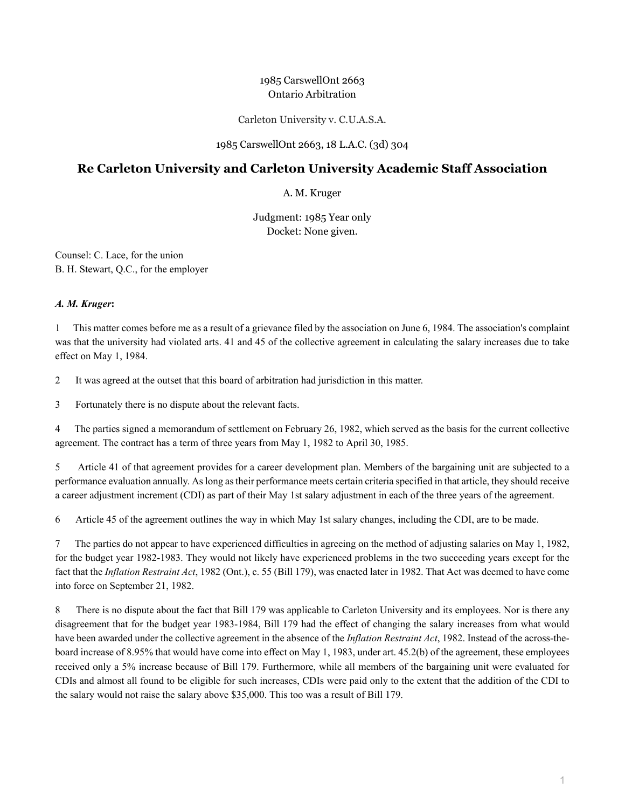# 1985 CarswellOnt 2663 Ontario Arbitration

Carleton University v. C.U.A.S.A.

## 1985 CarswellOnt 2663, 18 L.A.C. (3d) 304

# **Re Carleton University and Carleton University Academic Staff Association**

## A. M. Kruger

Judgment: 1985 Year only Docket: None given.

Counsel: C. Lace, for the union B. H. Stewart, Q.C., for the employer

#### *A. M. Kruger***:**

1 This matter comes before me as a result of a grievance filed by the association on June 6, 1984. The association's complaint was that the university had violated arts. 41 and 45 of the collective agreement in calculating the salary increases due to take effect on May 1, 1984.

2 It was agreed at the outset that this board of arbitration had jurisdiction in this matter.

3 Fortunately there is no dispute about the relevant facts.

4 The parties signed a memorandum of settlement on February 26, 1982, which served as the basis for the current collective agreement. The contract has a term of three years from May 1, 1982 to April 30, 1985.

5 Article 41 of that agreement provides for a career development plan. Members of the bargaining unit are subjected to a performance evaluation annually. As long as their performance meets certain criteria specified in that article, they should receive a career adjustment increment (CDI) as part of their May 1st salary adjustment in each of the three years of the agreement.

6 Article 45 of the agreement outlines the way in which May 1st salary changes, including the CDI, are to be made.

7 The parties do not appear to have experienced difficulties in agreeing on the method of adjusting salaries on May 1, 1982, for the budget year 1982-1983. They would not likely have experienced problems in the two succeeding years except for the fact that the *Inflation Restraint Act*, 1982 (Ont.), c. 55 (Bill 179), was enacted later in 1982. That Act was deemed to have come into force on September 21, 1982.

8 There is no dispute about the fact that Bill 179 was applicable to Carleton University and its employees. Nor is there any disagreement that for the budget year 1983-1984, Bill 179 had the effect of changing the salary increases from what would have been awarded under the collective agreement in the absence of the *Inflation Restraint Act*, 1982. Instead of the across-theboard increase of 8.95% that would have come into effect on May 1, 1983, under art. 45.2(b) of the agreement, these employees received only a 5% increase because of Bill 179. Furthermore, while all members of the bargaining unit were evaluated for CDIs and almost all found to be eligible for such increases, CDIs were paid only to the extent that the addition of the CDI to the salary would not raise the salary above \$35,000. This too was a result of Bill 179.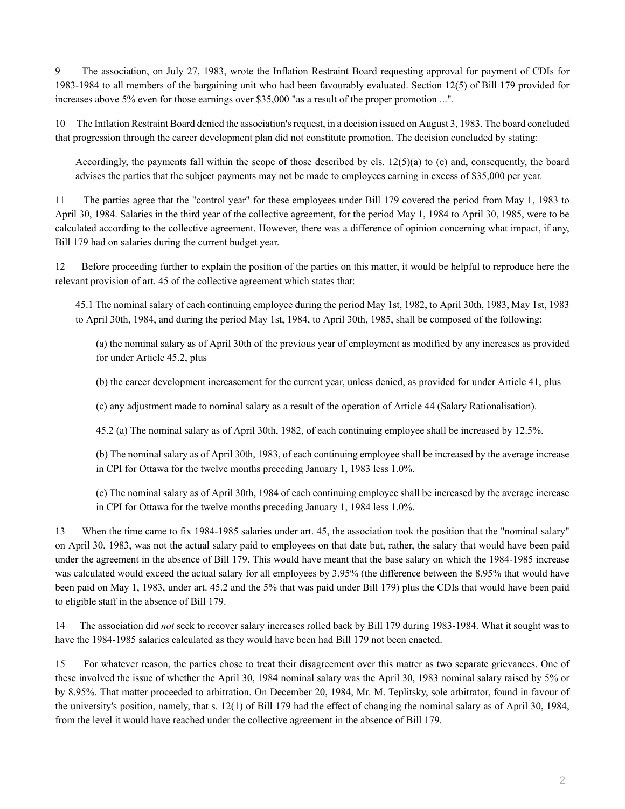9 The association, on July 27, 1983, wrote the Inflation Restraint Board requesting approval for payment of CDIs for 1983-1984 to all members of the bargaining unit who had been favourably evaluated. Section 12(5) of Bill 179 provided for increases above 5% even for those earnings over \$35,000 "as a result of the proper promotion ...".

10 The Inflation Restraint Board denied the association's request, in a decision issued on August 3, 1983. The board concluded that progression through the career development plan did not constitute promotion. The decision concluded by stating:

Accordingly, the payments fall within the scope of those described by cls.  $12(5)(a)$  to (e) and, consequently, the board advises the parties that the subject payments may not be made to employees earning in excess of \$35,000 per year.

11 The parties agree that the "control year" for these employees under Bill 179 covered the period from May 1, 1983 to April 30, 1984. Salaries in the third year of the collective agreement, for the period May 1, 1984 to April 30, 1985, were to be calculated according to the collective agreement. However, there was a difference of opinion concerning what impact, if any, Bill 179 had on salaries during the current budget year.

12 Before proceeding further to explain the position of the parties on this matter, it would be helpful to reproduce here the relevant provision of art. 45 of the collective agreement which states that:

45.1 The nominal salary of each continuing employee during the period May 1st, 1982, to April 30th, 1983, May 1st, 1983 to April 30th, 1984, and during the period May 1st, 1984, to April 30th, 1985, shall be composed of the following:

(a) the nominal salary as of April 30th of the previous year of employment as modified by any increases as provided for under Article 45.2, plus

(b) the career development increasement for the current year, unless denied, as provided for under Article 41, plus

(c) any adjustment made to nominal salary as a result of the operation of Article 44 (Salary Rationalisation).

45.2 (a) The nominal salary as of April 30th, 1982, of each continuing employee shall be increased by 12.5%.

(b) The nominal salary as of April 30th, 1983, of each continuing employee shall be increased by the average increase in CPI for Ottawa for the twelve months preceding January 1, 1983 less 1.0%.

(c) The nominal salary as of April 30th, 1984 of each continuing employee shall be increased by the average increase in CPI for Ottawa for the twelve months preceding January 1, 1984 less 1.0%.

13 When the time came to fix 1984-1985 salaries under art. 45, the association took the position that the "nominal salary" on April 30, 1983, was not the actual salary paid to employees on that date but, rather, the salary that would have been paid under the agreement in the absence of Bill 179. This would have meant that the base salary on which the 1984-1985 increase was calculated would exceed the actual salary for all employees by 3.95% (the difference between the 8.95% that would have been paid on May 1, 1983, under art. 45.2 and the 5% that was paid under Bill 179) plus the CDIs that would have been paid to eligible staff in the absence of Bill 179.

14 The association did *not* seek to recover salary increases rolled back by Bill 179 during 1983-1984. What it sought was to have the 1984-1985 salaries calculated as they would have been had Bill 179 not been enacted.

15 For whatever reason, the parties chose to treat their disagreement over this matter as two separate grievances. One of these involved the issue of whether the April 30, 1984 nominal salary was the April 30, 1983 nominal salary raised by 5% or by 8.95%. That matter proceeded to arbitration. On December 20, 1984, Mr. M. Teplitsky, sole arbitrator, found in favour of the university's position, namely, that s. 12(1) of Bill 179 had the effect of changing the nominal salary as of April 30, 1984, from the level it would have reached under the collective agreement in the absence of Bill 179.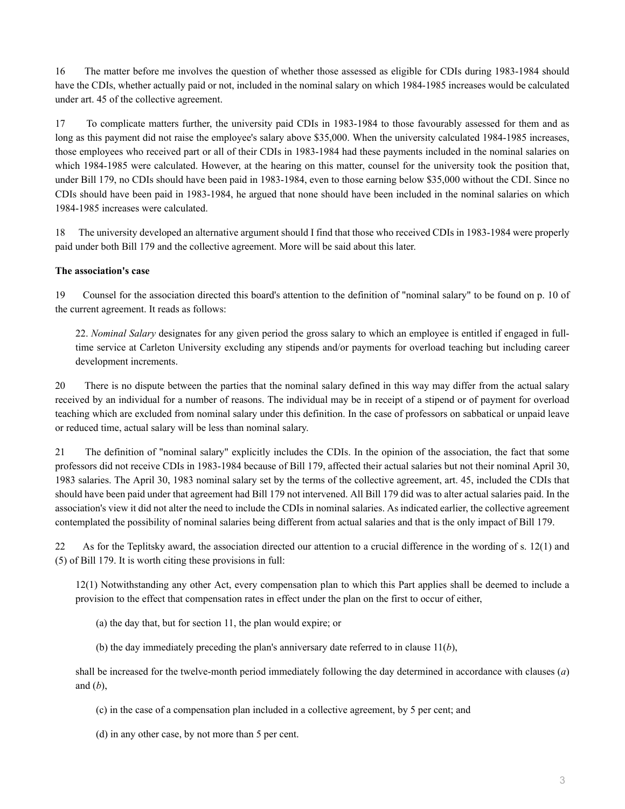16 The matter before me involves the question of whether those assessed as eligible for CDIs during 1983-1984 should have the CDIs, whether actually paid or not, included in the nominal salary on which 1984-1985 increases would be calculated under art. 45 of the collective agreement.

17 To complicate matters further, the university paid CDIs in 1983-1984 to those favourably assessed for them and as long as this payment did not raise the employee's salary above \$35,000. When the university calculated 1984-1985 increases, those employees who received part or all of their CDIs in 1983-1984 had these payments included in the nominal salaries on which 1984-1985 were calculated. However, at the hearing on this matter, counsel for the university took the position that, under Bill 179, no CDIs should have been paid in 1983-1984, even to those earning below \$35,000 without the CDI. Since no CDIs should have been paid in 1983-1984, he argued that none should have been included in the nominal salaries on which 1984-1985 increases were calculated.

18 The university developed an alternative argument should I find that those who received CDIs in 1983-1984 were properly paid under both Bill 179 and the collective agreement. More will be said about this later.

#### **The association's case**

19 Counsel for the association directed this board's attention to the definition of "nominal salary" to be found on p. 10 of the current agreement. It reads as follows:

22. *Nominal Salary* designates for any given period the gross salary to which an employee is entitled if engaged in fulltime service at Carleton University excluding any stipends and/or payments for overload teaching but including career development increments.

20 There is no dispute between the parties that the nominal salary defined in this way may differ from the actual salary received by an individual for a number of reasons. The individual may be in receipt of a stipend or of payment for overload teaching which are excluded from nominal salary under this definition. In the case of professors on sabbatical or unpaid leave or reduced time, actual salary will be less than nominal salary.

21 The definition of "nominal salary" explicitly includes the CDIs. In the opinion of the association, the fact that some professors did not receive CDIs in 1983-1984 because of Bill 179, affected their actual salaries but not their nominal April 30, 1983 salaries. The April 30, 1983 nominal salary set by the terms of the collective agreement, art. 45, included the CDIs that should have been paid under that agreement had Bill 179 not intervened. All Bill 179 did was to alter actual salaries paid. In the association's view it did not alter the need to include the CDIs in nominal salaries. As indicated earlier, the collective agreement contemplated the possibility of nominal salaries being different from actual salaries and that is the only impact of Bill 179.

22 As for the Teplitsky award, the association directed our attention to a crucial difference in the wording of s. 12(1) and (5) of Bill 179. It is worth citing these provisions in full:

12(1) Notwithstanding any other Act, every compensation plan to which this Part applies shall be deemed to include a provision to the effect that compensation rates in effect under the plan on the first to occur of either,

(a) the day that, but for section 11, the plan would expire; or

(b) the day immediately preceding the plan's anniversary date referred to in clause 11(*b*),

shall be increased for the twelve-month period immediately following the day determined in accordance with clauses (*a*) and (*b*),

(c) in the case of a compensation plan included in a collective agreement, by 5 per cent; and

(d) in any other case, by not more than 5 per cent.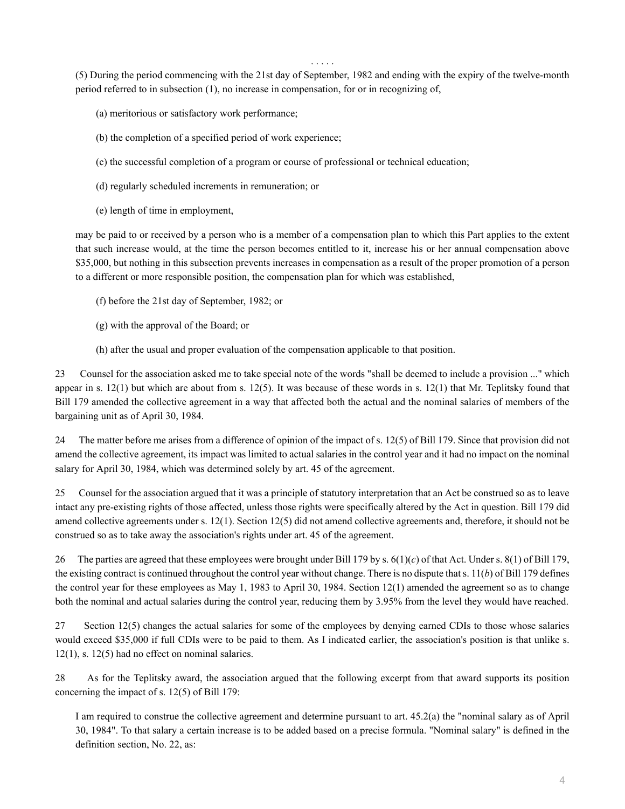. . . . .

(5) During the period commencing with the 21st day of September, 1982 and ending with the expiry of the twelve-month period referred to in subsection (1), no increase in compensation, for or in recognizing of,

(a) meritorious or satisfactory work performance;

- (b) the completion of a specified period of work experience;
- (c) the successful completion of a program or course of professional or technical education;
- (d) regularly scheduled increments in remuneration; or
- (e) length of time in employment,

may be paid to or received by a person who is a member of a compensation plan to which this Part applies to the extent that such increase would, at the time the person becomes entitled to it, increase his or her annual compensation above \$35,000, but nothing in this subsection prevents increases in compensation as a result of the proper promotion of a person to a different or more responsible position, the compensation plan for which was established,

- (f) before the 21st day of September, 1982; or
- (g) with the approval of the Board; or
- (h) after the usual and proper evaluation of the compensation applicable to that position.

23 Counsel for the association asked me to take special note of the words "shall be deemed to include a provision ..." which appear in s.  $12(1)$  but which are about from s.  $12(5)$ . It was because of these words in s.  $12(1)$  that Mr. Teplitsky found that Bill 179 amended the collective agreement in a way that affected both the actual and the nominal salaries of members of the bargaining unit as of April 30, 1984.

24 The matter before me arises from a difference of opinion of the impact of s. 12(5) of Bill 179. Since that provision did not amend the collective agreement, its impact was limited to actual salaries in the control year and it had no impact on the nominal salary for April 30, 1984, which was determined solely by art. 45 of the agreement.

25 Counsel for the association argued that it was a principle of statutory interpretation that an Act be construed so as to leave intact any pre-existing rights of those affected, unless those rights were specifically altered by the Act in question. Bill 179 did amend collective agreements under s. 12(1). Section 12(5) did not amend collective agreements and, therefore, it should not be construed so as to take away the association's rights under art. 45 of the agreement.

26 The parties are agreed that these employees were brought under Bill 179 by s. 6(1)(*c*) of that Act. Under s. 8(1) of Bill 179, the existing contract is continued throughout the control year without change. There is no dispute that s. 11(*b*) of Bill 179 defines the control year for these employees as May 1, 1983 to April 30, 1984. Section 12(1) amended the agreement so as to change both the nominal and actual salaries during the control year, reducing them by 3.95% from the level they would have reached.

27 Section 12(5) changes the actual salaries for some of the employees by denying earned CDIs to those whose salaries would exceed \$35,000 if full CDIs were to be paid to them. As I indicated earlier, the association's position is that unlike s. 12(1), s. 12(5) had no effect on nominal salaries.

28 As for the Teplitsky award, the association argued that the following excerpt from that award supports its position concerning the impact of s. 12(5) of Bill 179:

I am required to construe the collective agreement and determine pursuant to art. 45.2(a) the "nominal salary as of April 30, 1984". To that salary a certain increase is to be added based on a precise formula. "Nominal salary" is defined in the definition section, No. 22, as: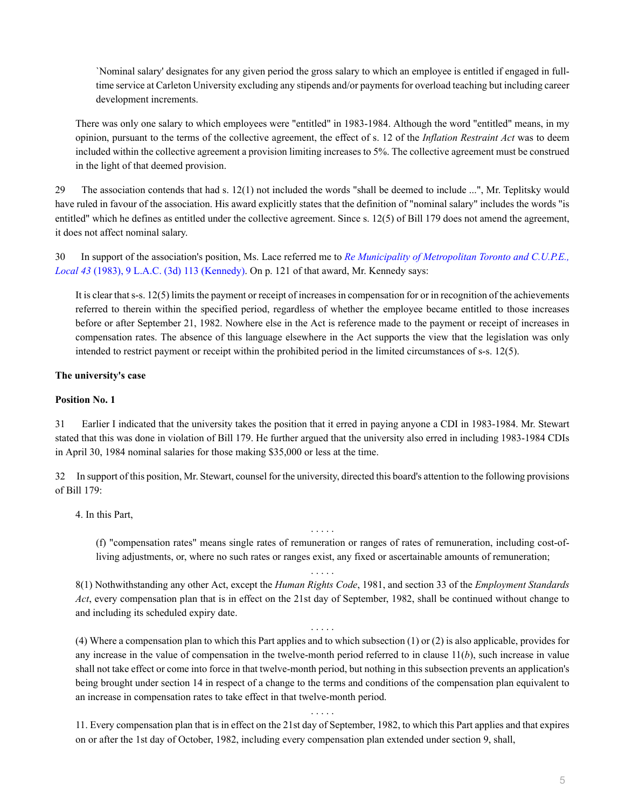`Nominal salary' designates for any given period the gross salary to which an employee is entitled if engaged in fulltime service at Carleton University excluding any stipends and/or payments for overload teaching but including career development increments.

There was only one salary to which employees were "entitled" in 1983-1984. Although the word "entitled" means, in my opinion, pursuant to the terms of the collective agreement, the effect of s. 12 of the *Inflation Restraint Act* was to deem included within the collective agreement a provision limiting increases to 5%. The collective agreement must be construed in the light of that deemed provision.

29 The association contends that had s. 12(1) not included the words "shall be deemed to include ...", Mr. Teplitsky would have ruled in favour of the association. His award explicitly states that the definition of "nominal salary" includes the words "is entitled" which he defines as entitled under the collective agreement. Since s. 12(5) of Bill 179 does not amend the agreement, it does not affect nominal salary.

30 In support of the association's position, Ms. Lace referred me to *[Re Municipality of Metropolitan Toronto and C.U.P.E.,](http://nextcanada.westlaw.com/Link/Document/FullText?findType=Y&serNum=1983284830&pubNum=0005841&originatingDoc=I10b717d126c763f0e0440003ba0d6c6d&refType=IC&originationContext=document&vr=3.0&rs=cblt1.0&transitionType=DocumentItem&contextData=(sc.Search)) Local 43* [\(1983\), 9 L.A.C. \(3d\) 113 \(Kennedy\).](http://nextcanada.westlaw.com/Link/Document/FullText?findType=Y&serNum=1983284830&pubNum=0005841&originatingDoc=I10b717d126c763f0e0440003ba0d6c6d&refType=IC&originationContext=document&vr=3.0&rs=cblt1.0&transitionType=DocumentItem&contextData=(sc.Search)) On p. 121 of that award, Mr. Kennedy says:

It is clear that s-s. 12(5) limits the payment or receipt of increases in compensation for or in recognition of the achievements referred to therein within the specified period, regardless of whether the employee became entitled to those increases before or after September 21, 1982. Nowhere else in the Act is reference made to the payment or receipt of increases in compensation rates. The absence of this language elsewhere in the Act supports the view that the legislation was only intended to restrict payment or receipt within the prohibited period in the limited circumstances of s-s. 12(5).

#### **The university's case**

#### **Position No. 1**

31 Earlier I indicated that the university takes the position that it erred in paying anyone a CDI in 1983-1984. Mr. Stewart stated that this was done in violation of Bill 179. He further argued that the university also erred in including 1983-1984 CDIs in April 30, 1984 nominal salaries for those making \$35,000 or less at the time.

32 In support of this position, Mr. Stewart, counsel for the university, directed this board's attention to the following provisions of Bill 179:

4. In this Part,

(f) "compensation rates" means single rates of remuneration or ranges of rates of remuneration, including cost-ofliving adjustments, or, where no such rates or ranges exist, any fixed or ascertainable amounts of remuneration;

. . . . .

8(1) Nothwithstanding any other Act, except the *Human Rights Code*, 1981, and section 33 of the *Employment Standards Act*, every compensation plan that is in effect on the 21st day of September, 1982, shall be continued without change to and including its scheduled expiry date.

. . . . .

. . . . .

(4) Where a compensation plan to which this Part applies and to which subsection (1) or (2) is also applicable, provides for any increase in the value of compensation in the twelve-month period referred to in clause 11(*b*), such increase in value shall not take effect or come into force in that twelve-month period, but nothing in this subsection prevents an application's being brought under section 14 in respect of a change to the terms and conditions of the compensation plan equivalent to an increase in compensation rates to take effect in that twelve-month period.

. . . . . 11. Every compensation plan that is in effect on the 21st day of September, 1982, to which this Part applies and that expires on or after the 1st day of October, 1982, including every compensation plan extended under section 9, shall,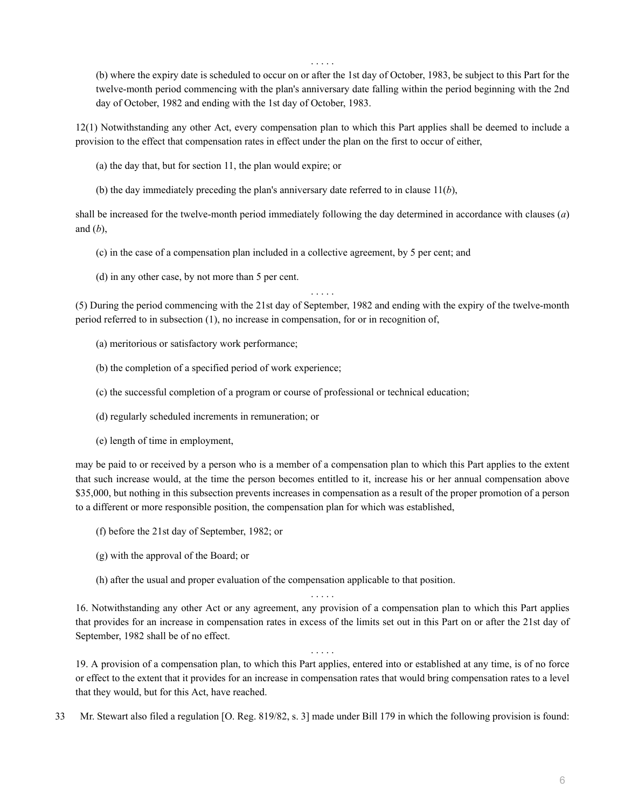. . . . .

(b) where the expiry date is scheduled to occur on or after the 1st day of October, 1983, be subject to this Part for the twelve-month period commencing with the plan's anniversary date falling within the period beginning with the 2nd day of October, 1982 and ending with the 1st day of October, 1983.

12(1) Notwithstanding any other Act, every compensation plan to which this Part applies shall be deemed to include a provision to the effect that compensation rates in effect under the plan on the first to occur of either,

- (a) the day that, but for section 11, the plan would expire; or
- (b) the day immediately preceding the plan's anniversary date referred to in clause 11(*b*),

shall be increased for the twelve-month period immediately following the day determined in accordance with clauses (*a*) and (*b*),

- (c) in the case of a compensation plan included in a collective agreement, by 5 per cent; and
- (d) in any other case, by not more than 5 per cent.

. . . . . (5) During the period commencing with the 21st day of September, 1982 and ending with the expiry of the twelve-month period referred to in subsection (1), no increase in compensation, for or in recognition of,

- (a) meritorious or satisfactory work performance;
- (b) the completion of a specified period of work experience;
- (c) the successful completion of a program or course of professional or technical education;
- (d) regularly scheduled increments in remuneration; or
- (e) length of time in employment,

may be paid to or received by a person who is a member of a compensation plan to which this Part applies to the extent that such increase would, at the time the person becomes entitled to it, increase his or her annual compensation above \$35,000, but nothing in this subsection prevents increases in compensation as a result of the proper promotion of a person to a different or more responsible position, the compensation plan for which was established,

- (f) before the 21st day of September, 1982; or
- (g) with the approval of the Board; or
- (h) after the usual and proper evaluation of the compensation applicable to that position.

16. Notwithstanding any other Act or any agreement, any provision of a compensation plan to which this Part applies that provides for an increase in compensation rates in excess of the limits set out in this Part on or after the 21st day of September, 1982 shall be of no effect.

. . . . .

19. A provision of a compensation plan, to which this Part applies, entered into or established at any time, is of no force or effect to the extent that it provides for an increase in compensation rates that would bring compensation rates to a level that they would, but for this Act, have reached.

. . . . .

33 Mr. Stewart also filed a regulation [O. Reg. 819/82, s. 3] made under Bill 179 in which the following provision is found: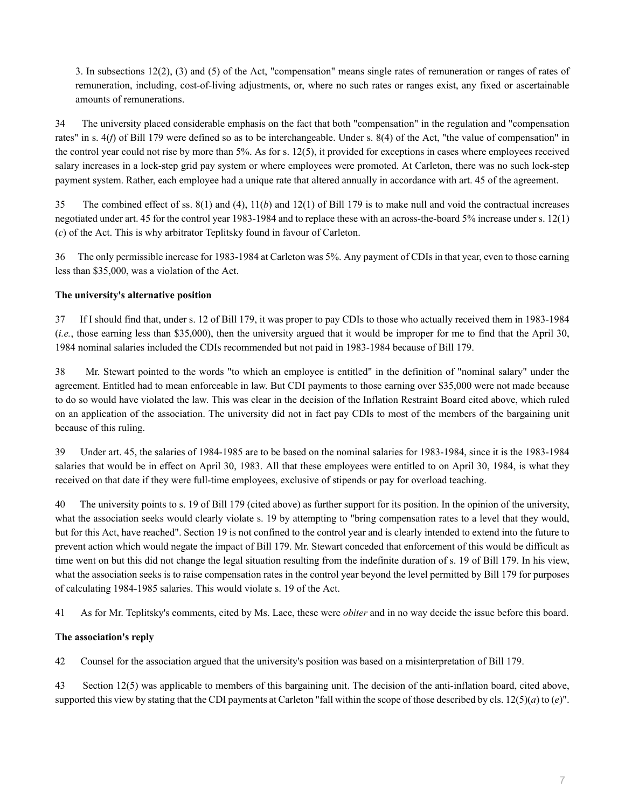3. In subsections 12(2), (3) and (5) of the Act, "compensation" means single rates of remuneration or ranges of rates of remuneration, including, cost-of-living adjustments, or, where no such rates or ranges exist, any fixed or ascertainable amounts of remunerations.

34 The university placed considerable emphasis on the fact that both "compensation" in the regulation and "compensation rates" in s. 4(*f*) of Bill 179 were defined so as to be interchangeable. Under s. 8(4) of the Act, "the value of compensation" in the control year could not rise by more than 5%. As for s. 12(5), it provided for exceptions in cases where employees received salary increases in a lock-step grid pay system or where employees were promoted. At Carleton, there was no such lock-step payment system. Rather, each employee had a unique rate that altered annually in accordance with art. 45 of the agreement.

35 The combined effect of ss. 8(1) and (4), 11(*b*) and 12(1) of Bill 179 is to make null and void the contractual increases negotiated under art. 45 for the control year 1983-1984 and to replace these with an across-the-board 5% increase under s. 12(1) (*c*) of the Act. This is why arbitrator Teplitsky found in favour of Carleton.

36 The only permissible increase for 1983-1984 at Carleton was 5%. Any payment of CDIs in that year, even to those earning less than \$35,000, was a violation of the Act.

## **The university's alternative position**

37 If I should find that, under s. 12 of Bill 179, it was proper to pay CDIs to those who actually received them in 1983-1984 (*i.e.*, those earning less than \$35,000), then the university argued that it would be improper for me to find that the April 30, 1984 nominal salaries included the CDIs recommended but not paid in 1983-1984 because of Bill 179.

38 Mr. Stewart pointed to the words "to which an employee is entitled" in the definition of "nominal salary" under the agreement. Entitled had to mean enforceable in law. But CDI payments to those earning over \$35,000 were not made because to do so would have violated the law. This was clear in the decision of the Inflation Restraint Board cited above, which ruled on an application of the association. The university did not in fact pay CDIs to most of the members of the bargaining unit because of this ruling.

39 Under art. 45, the salaries of 1984-1985 are to be based on the nominal salaries for 1983-1984, since it is the 1983-1984 salaries that would be in effect on April 30, 1983. All that these employees were entitled to on April 30, 1984, is what they received on that date if they were full-time employees, exclusive of stipends or pay for overload teaching.

40 The university points to s. 19 of Bill 179 (cited above) as further support for its position. In the opinion of the university, what the association seeks would clearly violate s. 19 by attempting to "bring compensation rates to a level that they would, but for this Act, have reached". Section 19 is not confined to the control year and is clearly intended to extend into the future to prevent action which would negate the impact of Bill 179. Mr. Stewart conceded that enforcement of this would be difficult as time went on but this did not change the legal situation resulting from the indefinite duration of s. 19 of Bill 179. In his view, what the association seeks is to raise compensation rates in the control year beyond the level permitted by Bill 179 for purposes of calculating 1984-1985 salaries. This would violate s. 19 of the Act.

41 As for Mr. Teplitsky's comments, cited by Ms. Lace, these were *obiter* and in no way decide the issue before this board.

## **The association's reply**

42 Counsel for the association argued that the university's position was based on a misinterpretation of Bill 179.

43 Section 12(5) was applicable to members of this bargaining unit. The decision of the anti-inflation board, cited above, supported this view by stating that the CDI payments at Carleton "fall within the scope of those described by cls. 12(5)(*a*) to (*e*)".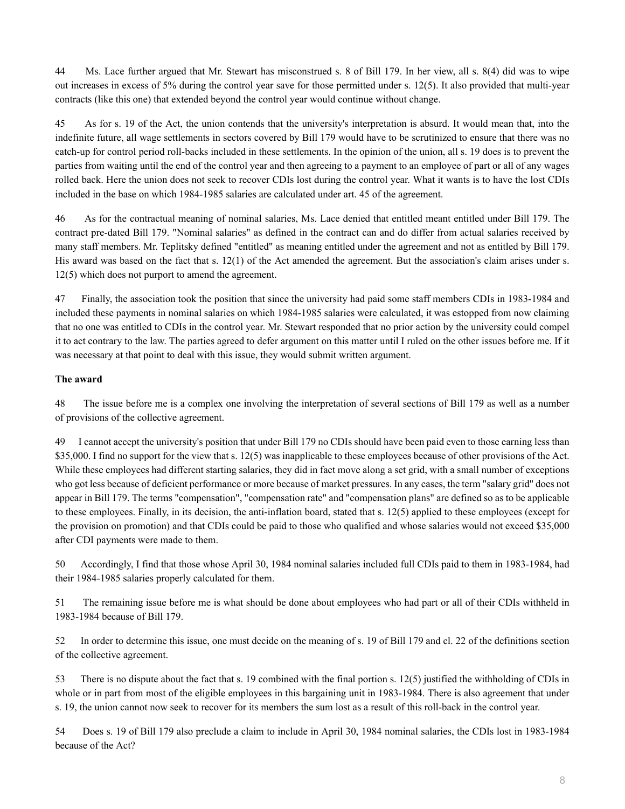44 Ms. Lace further argued that Mr. Stewart has misconstrued s. 8 of Bill 179. In her view, all s. 8(4) did was to wipe out increases in excess of 5% during the control year save for those permitted under s. 12(5). It also provided that multi-year contracts (like this one) that extended beyond the control year would continue without change.

45 As for s. 19 of the Act, the union contends that the university's interpretation is absurd. It would mean that, into the indefinite future, all wage settlements in sectors covered by Bill 179 would have to be scrutinized to ensure that there was no catch-up for control period roll-backs included in these settlements. In the opinion of the union, all s. 19 does is to prevent the parties from waiting until the end of the control year and then agreeing to a payment to an employee of part or all of any wages rolled back. Here the union does not seek to recover CDIs lost during the control year. What it wants is to have the lost CDIs included in the base on which 1984-1985 salaries are calculated under art. 45 of the agreement.

46 As for the contractual meaning of nominal salaries, Ms. Lace denied that entitled meant entitled under Bill 179. The contract pre-dated Bill 179. "Nominal salaries" as defined in the contract can and do differ from actual salaries received by many staff members. Mr. Teplitsky defined "entitled" as meaning entitled under the agreement and not as entitled by Bill 179. His award was based on the fact that s. 12(1) of the Act amended the agreement. But the association's claim arises under s. 12(5) which does not purport to amend the agreement.

47 Finally, the association took the position that since the university had paid some staff members CDIs in 1983-1984 and included these payments in nominal salaries on which 1984-1985 salaries were calculated, it was estopped from now claiming that no one was entitled to CDIs in the control year. Mr. Stewart responded that no prior action by the university could compel it to act contrary to the law. The parties agreed to defer argument on this matter until I ruled on the other issues before me. If it was necessary at that point to deal with this issue, they would submit written argument.

## **The award**

48 The issue before me is a complex one involving the interpretation of several sections of Bill 179 as well as a number of provisions of the collective agreement.

49 I cannot accept the university's position that under Bill 179 no CDIs should have been paid even to those earning less than \$35,000. I find no support for the view that s. 12(5) was inapplicable to these employees because of other provisions of the Act. While these employees had different starting salaries, they did in fact move along a set grid, with a small number of exceptions who got less because of deficient performance or more because of market pressures. In any cases, the term "salary grid" does not appear in Bill 179. The terms "compensation", "compensation rate" and "compensation plans" are defined so as to be applicable to these employees. Finally, in its decision, the anti-inflation board, stated that s. 12(5) applied to these employees (except for the provision on promotion) and that CDIs could be paid to those who qualified and whose salaries would not exceed \$35,000 after CDI payments were made to them.

50 Accordingly, I find that those whose April 30, 1984 nominal salaries included full CDIs paid to them in 1983-1984, had their 1984-1985 salaries properly calculated for them.

51 The remaining issue before me is what should be done about employees who had part or all of their CDIs withheld in 1983-1984 because of Bill 179.

52 In order to determine this issue, one must decide on the meaning of s. 19 of Bill 179 and cl. 22 of the definitions section of the collective agreement.

53 There is no dispute about the fact that s. 19 combined with the final portion s. 12(5) justified the withholding of CDIs in whole or in part from most of the eligible employees in this bargaining unit in 1983-1984. There is also agreement that under s. 19, the union cannot now seek to recover for its members the sum lost as a result of this roll-back in the control year.

54 Does s. 19 of Bill 179 also preclude a claim to include in April 30, 1984 nominal salaries, the CDIs lost in 1983-1984 because of the Act?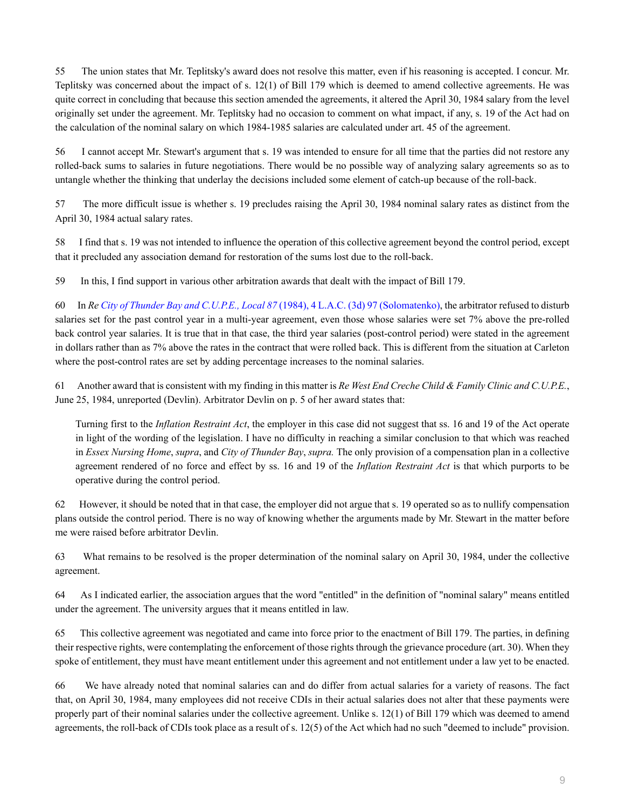55 The union states that Mr. Teplitsky's award does not resolve this matter, even if his reasoning is accepted. I concur. Mr. Teplitsky was concerned about the impact of s. 12(1) of Bill 179 which is deemed to amend collective agreements. He was quite correct in concluding that because this section amended the agreements, it altered the April 30, 1984 salary from the level originally set under the agreement. Mr. Teplitsky had no occasion to comment on what impact, if any, s. 19 of the Act had on the calculation of the nominal salary on which 1984-1985 salaries are calculated under art. 45 of the agreement.

56 I cannot accept Mr. Stewart's argument that s. 19 was intended to ensure for all time that the parties did not restore any rolled-back sums to salaries in future negotiations. There would be no possible way of analyzing salary agreements so as to untangle whether the thinking that underlay the decisions included some element of catch-up because of the roll-back.

57 The more difficult issue is whether s. 19 precludes raising the April 30, 1984 nominal salary rates as distinct from the April 30, 1984 actual salary rates.

58 I find that s. 19 was not intended to influence the operation of this collective agreement beyond the control period, except that it precluded any association demand for restoration of the sums lost due to the roll-back.

59 In this, I find support in various other arbitration awards that dealt with the impact of Bill 179.

60 In *Re [City of Thunder Bay and C.U.P.E., Local 87](http://nextcanada.westlaw.com/Link/Document/FullText?findType=Y&serNum=1982169240&pubNum=0005841&originatingDoc=I10b717d126c763f0e0440003ba0d6c6d&refType=IC&originationContext=document&vr=3.0&rs=cblt1.0&transitionType=DocumentItem&contextData=(sc.Search))* (1984), 4 L.A.C. (3d) 97 (Solomatenko), the arbitrator refused to disturb salaries set for the past control year in a multi-year agreement, even those whose salaries were set 7% above the pre-rolled back control year salaries. It is true that in that case, the third year salaries (post-control period) were stated in the agreement in dollars rather than as 7% above the rates in the contract that were rolled back. This is different from the situation at Carleton where the post-control rates are set by adding percentage increases to the nominal salaries.

61 Another award that is consistent with my finding in this matter is *Re West End Creche Child & Family Clinic and C.U.P.E.*, June 25, 1984, unreported (Devlin). Arbitrator Devlin on p. 5 of her award states that:

Turning first to the *Inflation Restraint Act*, the employer in this case did not suggest that ss. 16 and 19 of the Act operate in light of the wording of the legislation. I have no difficulty in reaching a similar conclusion to that which was reached in *Essex Nursing Home*, *supra*, and *City of Thunder Bay*, *supra.* The only provision of a compensation plan in a collective agreement rendered of no force and effect by ss. 16 and 19 of the *Inflation Restraint Act* is that which purports to be operative during the control period.

62 However, it should be noted that in that case, the employer did not argue that s. 19 operated so as to nullify compensation plans outside the control period. There is no way of knowing whether the arguments made by Mr. Stewart in the matter before me were raised before arbitrator Devlin.

63 What remains to be resolved is the proper determination of the nominal salary on April 30, 1984, under the collective agreement.

64 As I indicated earlier, the association argues that the word "entitled" in the definition of "nominal salary" means entitled under the agreement. The university argues that it means entitled in law.

65 This collective agreement was negotiated and came into force prior to the enactment of Bill 179. The parties, in defining their respective rights, were contemplating the enforcement of those rights through the grievance procedure (art. 30). When they spoke of entitlement, they must have meant entitlement under this agreement and not entitlement under a law yet to be enacted.

66 We have already noted that nominal salaries can and do differ from actual salaries for a variety of reasons. The fact that, on April 30, 1984, many employees did not receive CDIs in their actual salaries does not alter that these payments were properly part of their nominal salaries under the collective agreement. Unlike s. 12(1) of Bill 179 which was deemed to amend agreements, the roll-back of CDIs took place as a result of s. 12(5) of the Act which had no such "deemed to include" provision.